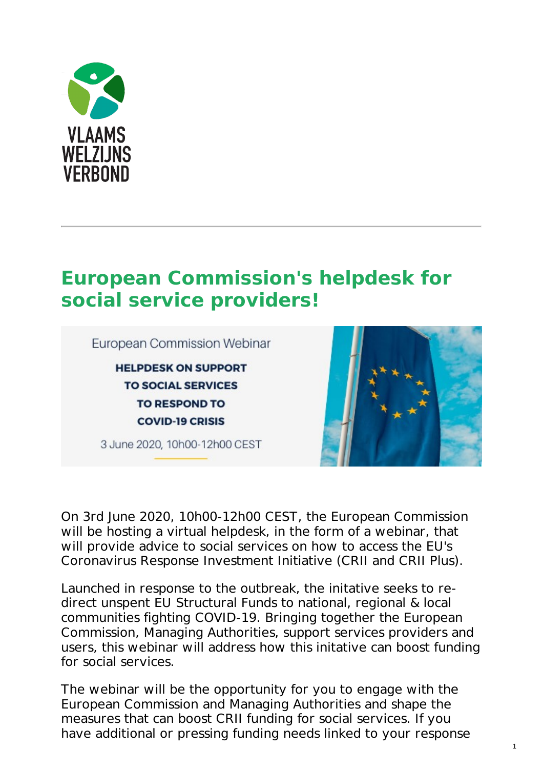

## **European [Commission's](https://www.vlaamswelzijnsverbond.be/nieuws/european-commissions-helpdesk-social-service-providers) helpdesk for social service providers!**



On 3rd June 2020, 10h00-12h00 CEST, the European Commission will be hosting a virtual helpdesk, in the form of a webinar, that will provide advice to social services on how to access the EU's Coronavirus Response Investment Initiative (CRII and CRII Plus).

Launched in response to the outbreak, the initative seeks to redirect unspent EU Structural Funds to national, regional & local communities fighting COVID-19. Bringing together the European Commission, Managing Authorities, support services providers and users, this webinar will address how this initative can boost funding for social services.

The webinar will be the opportunity for you to engage with the European Commission and Managing Authorities and shape the measures that can boost CRII funding for social services. If you have additional or pressing funding needs linked to your response